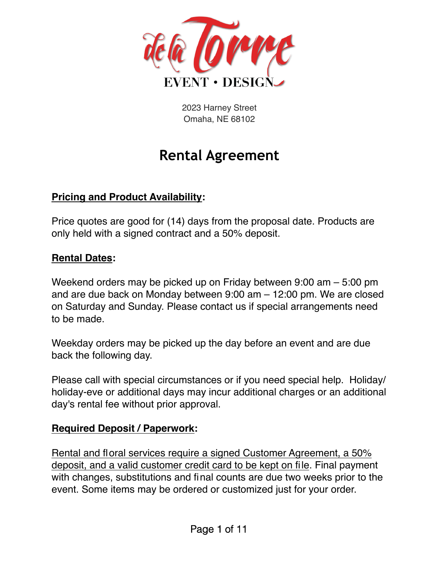

2023 Harney Street Omaha, NE 68102

# **Rental Agreement**

#### **Pricing and Product Availability:**

Price quotes are good for (14) days from the proposal date. Products are only held with a signed contract and a 50% deposit.

#### **Rental Dates:**

Weekend orders may be picked up on Friday between 9:00 am – 5:00 pm and are due back on Monday between 9:00 am – 12:00 pm. We are closed on Saturday and Sunday. Please contact us if special arrangements need to be made.

Weekday orders may be picked up the day before an event and are due back the following day.

Please call with special circumstances or if you need special help. Holiday/ holiday-eve or additional days may incur additional charges or an additional day's rental fee without prior approval.

#### **Required Deposit / Paperwork:**

Rental and floral services require a signed Customer Agreement, a 50% deposit, and a valid customer credit card to be kept on file. Final payment with changes, substitutions and final counts are due two weeks prior to the event. Some items may be ordered or customized just for your order.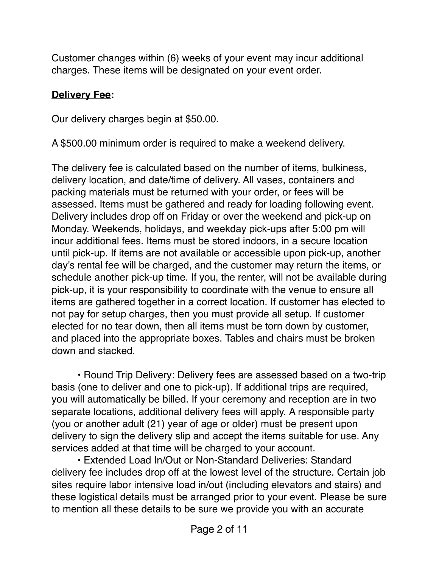Customer changes within (6) weeks of your event may incur additional charges. These items will be designated on your event order.

#### **Delivery Fee:**

Our delivery charges begin at \$50.00.

A \$500.00 minimum order is required to make a weekend delivery.

The delivery fee is calculated based on the number of items, bulkiness, delivery location, and date/time of delivery. All vases, containers and packing materials must be returned with your order, or fees will be assessed. Items must be gathered and ready for loading following event. Delivery includes drop off on Friday or over the weekend and pick-up on Monday. Weekends, holidays, and weekday pick-ups after 5:00 pm will incur additional fees. Items must be stored indoors, in a secure location until pick-up. If items are not available or accessible upon pick-up, another day's rental fee will be charged, and the customer may return the items, or schedule another pick-up time. If you, the renter, will not be available during pick-up, it is your responsibility to coordinate with the venue to ensure all items are gathered together in a correct location. If customer has elected to not pay for setup charges, then you must provide all setup. If customer elected for no tear down, then all items must be torn down by customer, and placed into the appropriate boxes. Tables and chairs must be broken down and stacked.

• Round Trip Delivery: Delivery fees are assessed based on a two-trip basis (one to deliver and one to pick-up). If additional trips are required, you will automatically be billed. If your ceremony and reception are in two separate locations, additional delivery fees will apply. A responsible party (you or another adult (21) year of age or older) must be present upon delivery to sign the delivery slip and accept the items suitable for use. Any services added at that time will be charged to your account.

• Extended Load In/Out or Non-Standard Deliveries: Standard delivery fee includes drop off at the lowest level of the structure. Certain job sites require labor intensive load in/out (including elevators and stairs) and these logistical details must be arranged prior to your event. Please be sure to mention all these details to be sure we provide you with an accurate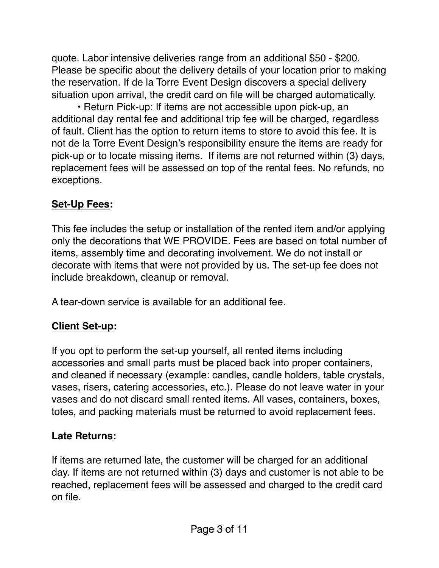quote. Labor intensive deliveries range from an additional \$50 - \$200. Please be specific about the delivery details of your location prior to making the reservation. If de la Torre Event Design discovers a special delivery situation upon arrival, the credit card on file will be charged automatically.

• Return Pick-up: If items are not accessible upon pick-up, an additional day rental fee and additional trip fee will be charged, regardless of fault. Client has the option to return items to store to avoid this fee. It is not de la Torre Event Design's responsibility ensure the items are ready for pick-up or to locate missing items. If items are not returned within (3) days, replacement fees will be assessed on top of the rental fees. No refunds, no exceptions.

## **Set-Up Fees:**

This fee includes the setup or installation of the rented item and/or applying only the decorations that WE PROVIDE. Fees are based on total number of items, assembly time and decorating involvement. We do not install or decorate with items that were not provided by us. The set-up fee does not include breakdown, cleanup or removal.

A tear-down service is available for an additional fee.

## **Client Set-up:**

If you opt to perform the set-up yourself, all rented items including accessories and small parts must be placed back into proper containers, and cleaned if necessary (example: candles, candle holders, table crystals, vases, risers, catering accessories, etc.). Please do not leave water in your vases and do not discard small rented items. All vases, containers, boxes, totes, and packing materials must be returned to avoid replacement fees.

## **Late Returns:**

If items are returned late, the customer will be charged for an additional day. If items are not returned within (3) days and customer is not able to be reached, replacement fees will be assessed and charged to the credit card on file.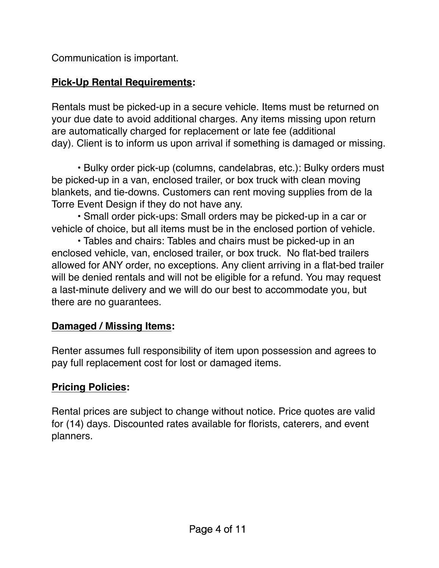Communication is important.

## **Pick-Up Rental Requirements:**

Rentals must be picked-up in a secure vehicle. Items must be returned on your due date to avoid additional charges. Any items missing upon return are automatically charged for replacement or late fee (additional day). Client is to inform us upon arrival if something is damaged or missing.

• Bulky order pick-up (columns, candelabras, etc.): Bulky orders must be picked-up in a van, enclosed trailer, or box truck with clean moving blankets, and tie-downs. Customers can rent moving supplies from de la Torre Event Design if they do not have any.

• Small order pick-ups: Small orders may be picked-up in a car or vehicle of choice, but all items must be in the enclosed portion of vehicle.

• Tables and chairs: Tables and chairs must be picked-up in an enclosed vehicle, van, enclosed trailer, or box truck. No flat-bed trailers allowed for ANY order, no exceptions. Any client arriving in a flat-bed trailer will be denied rentals and will not be eligible for a refund. You may request a last-minute delivery and we will do our best to accommodate you, but there are no guarantees.

## **Damaged / Missing Items:**

Renter assumes full responsibility of item upon possession and agrees to pay full replacement cost for lost or damaged items.

## **Pricing Policies:**

Rental prices are subject to change without notice. Price quotes are valid for (14) days. Discounted rates available for florists, caterers, and event planners.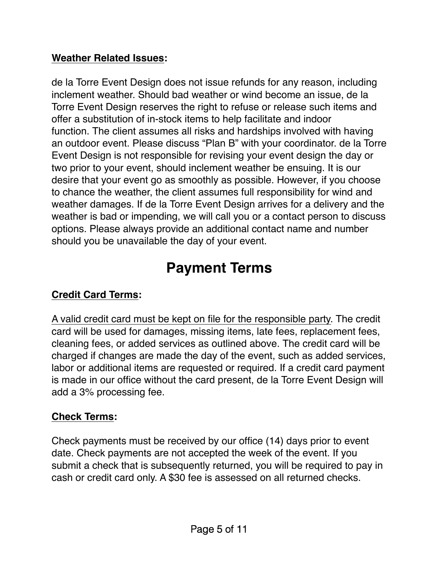#### **Weather Related Issues:**

de la Torre Event Design does not issue refunds for any reason, including inclement weather. Should bad weather or wind become an issue, de la Torre Event Design reserves the right to refuse or release such items and offer a substitution of in-stock items to help facilitate and indoor function. The client assumes all risks and hardships involved with having an outdoor event. Please discuss "Plan B" with your coordinator. de la Torre Event Design is not responsible for revising your event design the day or two prior to your event, should inclement weather be ensuing. It is our desire that your event go as smoothly as possible. However, if you choose to chance the weather, the client assumes full responsibility for wind and weather damages. If de la Torre Event Design arrives for a delivery and the weather is bad or impending, we will call you or a contact person to discuss options. Please always provide an additional contact name and number should you be unavailable the day of your event.

# **Payment Terms**

## **Credit Card Terms:**

A valid credit card must be kept on file for the responsible party. The credit card will be used for damages, missing items, late fees, replacement fees, cleaning fees, or added services as outlined above. The credit card will be charged if changes are made the day of the event, such as added services, labor or additional items are requested or required. If a credit card payment is made in our office without the card present, de la Torre Event Design will add a 3% processing fee.

## **Check Terms:**

Check payments must be received by our office (14) days prior to event date. Check payments are not accepted the week of the event. If you submit a check that is subsequently returned, you will be required to pay in cash or credit card only. A \$30 fee is assessed on all returned checks.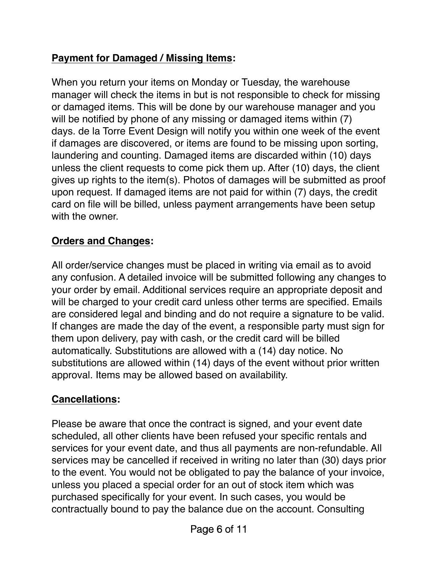## **Payment for Damaged / Missing Items:**

When you return your items on Monday or Tuesday, the warehouse manager will check the items in but is not responsible to check for missing or damaged items. This will be done by our warehouse manager and you will be notified by phone of any missing or damaged items within (7) days. de la Torre Event Design will notify you within one week of the event if damages are discovered, or items are found to be missing upon sorting, laundering and counting. Damaged items are discarded within (10) days unless the client requests to come pick them up. After (10) days, the client gives up rights to the item(s). Photos of damages will be submitted as proof upon request. If damaged items are not paid for within (7) days, the credit card on file will be billed, unless payment arrangements have been setup with the owner.

## **Orders and Changes:**

All order/service changes must be placed in writing via email as to avoid any confusion. A detailed invoice will be submitted following any changes to your order by email. Additional services require an appropriate deposit and will be charged to your credit card unless other terms are specified. Emails are considered legal and binding and do not require a signature to be valid. If changes are made the day of the event, a responsible party must sign for them upon delivery, pay with cash, or the credit card will be billed automatically. Substitutions are allowed with a (14) day notice. No substitutions are allowed within (14) days of the event without prior written approval. Items may be allowed based on availability.

# **Cancellations:**

Please be aware that once the contract is signed, and your event date scheduled, all other clients have been refused your specific rentals and services for your event date, and thus all payments are non-refundable. All services may be cancelled if received in writing no later than (30) days prior to the event. You would not be obligated to pay the balance of your invoice, unless you placed a special order for an out of stock item which was purchased specifically for your event. In such cases, you would be contractually bound to pay the balance due on the account. Consulting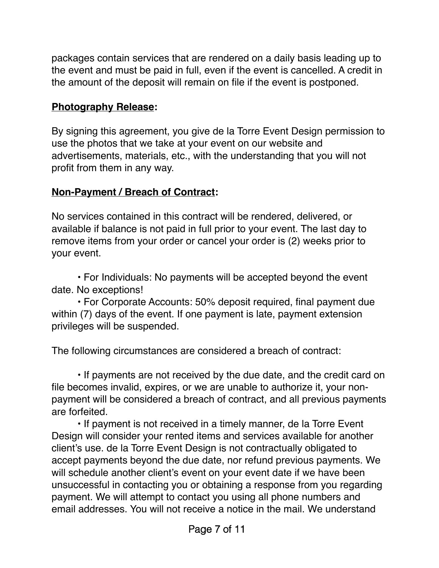packages contain services that are rendered on a daily basis leading up to the event and must be paid in full, even if the event is cancelled. A credit in the amount of the deposit will remain on file if the event is postponed.

#### **Photography Release:**

By signing this agreement, you give de la Torre Event Design permission to use the photos that we take at your event on our website and advertisements, materials, etc., with the understanding that you will not profit from them in any way.

#### **Non-Payment / Breach of Contract:**

No services contained in this contract will be rendered, delivered, or available if balance is not paid in full prior to your event. The last day to remove items from your order or cancel your order is (2) weeks prior to your event.

• For Individuals: No payments will be accepted beyond the event date. No exceptions!

• For Corporate Accounts: 50% deposit required, final payment due within (7) days of the event. If one payment is late, payment extension privileges will be suspended.

The following circumstances are considered a breach of contract:

• If payments are not received by the due date, and the credit card on file becomes invalid, expires, or we are unable to authorize it, your nonpayment will be considered a breach of contract, and all previous payments are forfeited.

• If payment is not received in a timely manner, de la Torre Event Design will consider your rented items and services available for another client's use. de la Torre Event Design is not contractually obligated to accept payments beyond the due date, nor refund previous payments. We will schedule another client's event on your event date if we have been unsuccessful in contacting you or obtaining a response from you regarding payment. We will attempt to contact you using all phone numbers and email addresses. You will not receive a notice in the mail. We understand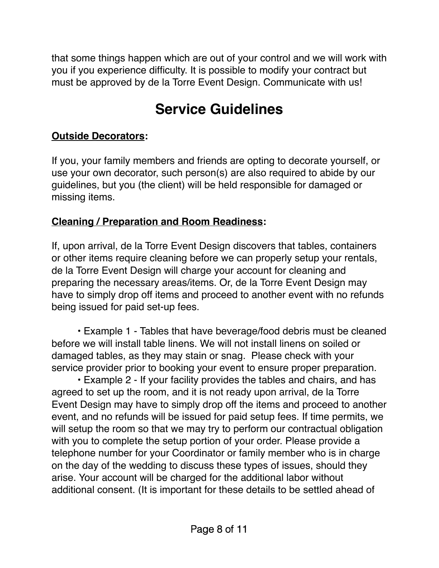that some things happen which are out of your control and we will work with you if you experience difficulty. It is possible to modify your contract but must be approved by de la Torre Event Design. Communicate with us!

# **Service Guidelines**

#### **Outside Decorators:**

If you, your family members and friends are opting to decorate yourself, or use your own decorator, such person(s) are also required to abide by our guidelines, but you (the client) will be held responsible for damaged or missing items.

### **Cleaning / Preparation and Room Readiness:**

If, upon arrival, de la Torre Event Design discovers that tables, containers or other items require cleaning before we can properly setup your rentals, de la Torre Event Design will charge your account for cleaning and preparing the necessary areas/items. Or, de la Torre Event Design may have to simply drop off items and proceed to another event with no refunds being issued for paid set-up fees.

• Example 1 - Tables that have beverage/food debris must be cleaned before we will install table linens. We will not install linens on soiled or damaged tables, as they may stain or snag. Please check with your service provider prior to booking your event to ensure proper preparation.

• Example 2 - If your facility provides the tables and chairs, and has agreed to set up the room, and it is not ready upon arrival, de la Torre Event Design may have to simply drop off the items and proceed to another event, and no refunds will be issued for paid setup fees. If time permits, we will setup the room so that we may try to perform our contractual obligation with you to complete the setup portion of your order. Please provide a telephone number for your Coordinator or family member who is in charge on the day of the wedding to discuss these types of issues, should they arise. Your account will be charged for the additional labor without additional consent. (It is important for these details to be settled ahead of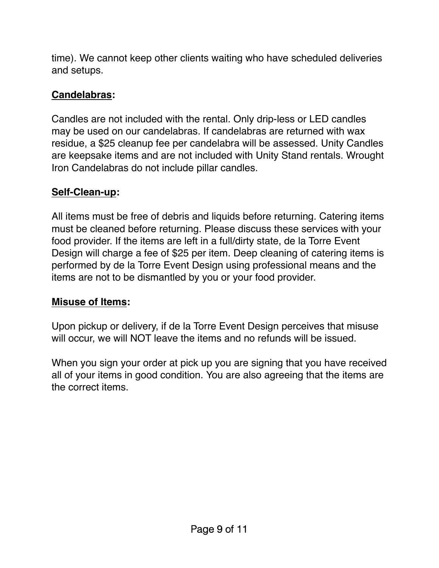time). We cannot keep other clients waiting who have scheduled deliveries and setups.

### **Candelabras:**

Candles are not included with the rental. Only drip-less or LED candles may be used on our candelabras. If candelabras are returned with wax residue, a \$25 cleanup fee per candelabra will be assessed. Unity Candles are keepsake items and are not included with Unity Stand rentals. Wrought Iron Candelabras do not include pillar candles.

### **Self-Clean-up:**

All items must be free of debris and liquids before returning. Catering items must be cleaned before returning. Please discuss these services with your food provider. If the items are left in a full/dirty state, de la Torre Event Design will charge a fee of \$25 per item. Deep cleaning of catering items is performed by de la Torre Event Design using professional means and the items are not to be dismantled by you or your food provider.

#### **Misuse of Items:**

Upon pickup or delivery, if de la Torre Event Design perceives that misuse will occur, we will NOT leave the items and no refunds will be issued.

When you sign your order at pick up you are signing that you have received all of your items in good condition. You are also agreeing that the items are the correct items.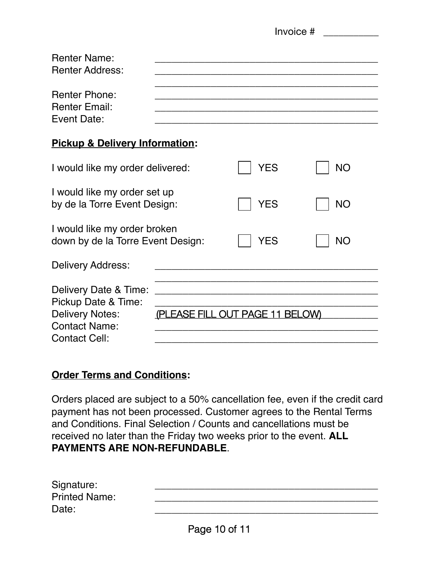|                                                                                                                                                           | Invoice # |            |           |
|-----------------------------------------------------------------------------------------------------------------------------------------------------------|-----------|------------|-----------|
| <b>Renter Name:</b><br><b>Renter Address:</b>                                                                                                             |           |            |           |
| <b>Renter Phone:</b><br><b>Renter Email:</b><br>Event Date:                                                                                               |           |            |           |
| <b>Pickup &amp; Delivery Information:</b>                                                                                                                 |           |            |           |
| I would like my order delivered:                                                                                                                          |           | <b>YES</b> | <b>NO</b> |
| I would like my order set up<br>by de la Torre Event Design:                                                                                              |           | <b>YES</b> | <b>NO</b> |
| I would like my order broken<br>down by de la Torre Event Design:                                                                                         |           | <b>YES</b> | <b>NO</b> |
| Delivery Address:                                                                                                                                         |           |            |           |
| Delivery Date & Time:<br>Pickup Date & Time:<br>(PLEASE FILL OUT PAGE 11 BELOW)<br><b>Delivery Notes:</b><br><b>Contact Name:</b><br><b>Contact Cell:</b> |           |            |           |

#### **Order Terms and Conditions:**

Orders placed are subject to a 50% cancellation fee, even if the credit card payment has not been processed. Customer agrees to the Rental Terms and Conditions. Final Selection / Counts and cancellations must be received no later than the Friday two weeks prior to the event. **ALL PAYMENTS ARE NON-REFUNDABLE**.

| Signature:           |  |
|----------------------|--|
| <b>Printed Name:</b> |  |
| Date:                |  |
|                      |  |